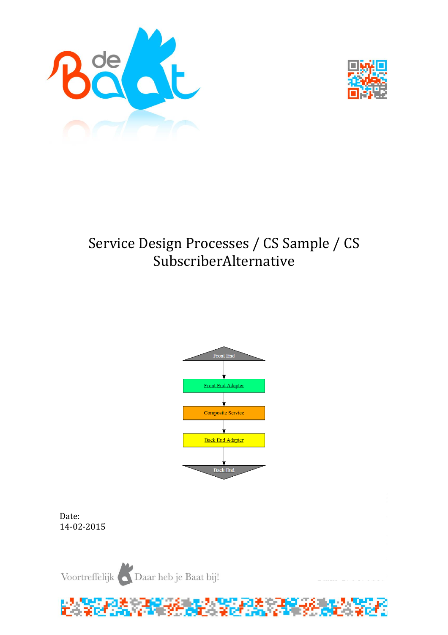



# Service Design Processes / CS Sample / CS SubscriberAlternative



Date: 14-02-2015

Voortreffelijk Daar heb je Baat bij!

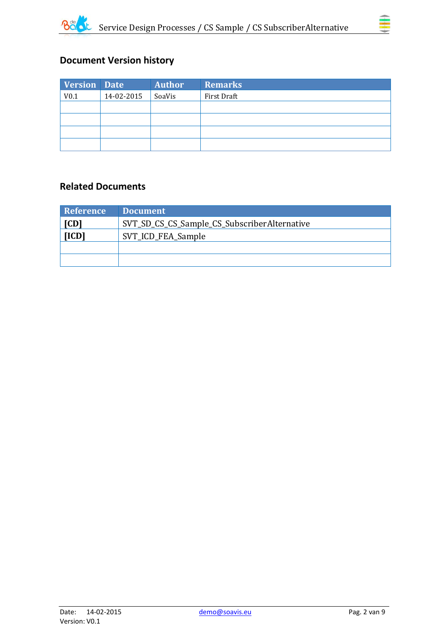



# **Document Version history**

| <b>Version Date</b> |            | <b>Author</b> | <b>Remarks</b> |
|---------------------|------------|---------------|----------------|
| V <sub>0.1</sub>    | 14-02-2015 | SoaVis        | First Draft    |
|                     |            |               |                |
|                     |            |               |                |
|                     |            |               |                |
|                     |            |               |                |

## **Related Documents**

| Reference                                            | <b>Document</b>    |
|------------------------------------------------------|--------------------|
| SVT_SD_CS_CS_Sample_CS_SubscriberAlternative<br>[CD] |                    |
| [ICD]                                                | SVT_ICD_FEA_Sample |
|                                                      |                    |
|                                                      |                    |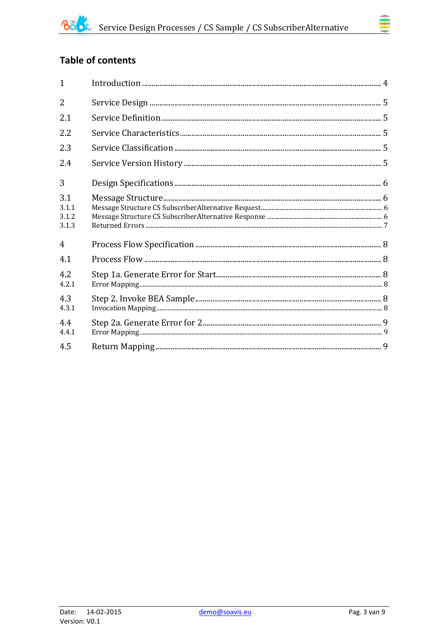# Table of contents

| $\mathbf{1}$                   |  |
|--------------------------------|--|
| $\overline{2}$                 |  |
| 2.1                            |  |
| 2.2                            |  |
| 2.3                            |  |
| 2.4                            |  |
| 3                              |  |
| 3.1<br>3.1.1<br>3.1.2<br>3.1.3 |  |
| $\overline{4}$                 |  |
| 4.1                            |  |
| 4.2<br>4.2.1                   |  |
| 4.3<br>4.3.1                   |  |
| 4.4<br>4.4.1                   |  |
| 4.5                            |  |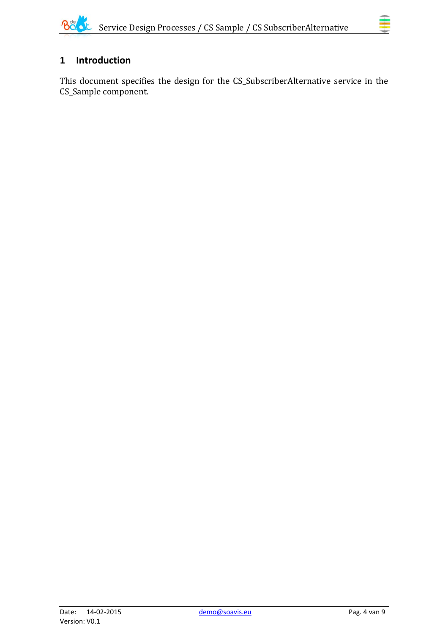# <span id="page-3-0"></span>**1 Introduction**

This document specifies the design for the CS\_SubscriberAlternative service in the CS\_Sample component.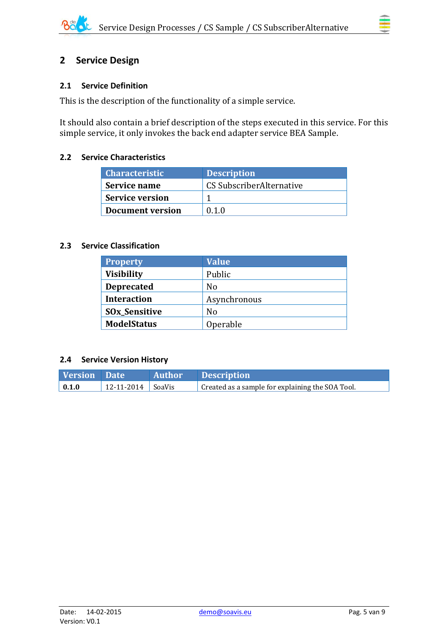## <span id="page-4-0"></span>**2 Service Design**

### <span id="page-4-1"></span>**2.1 Service Definition**

This is the description of the functionality of a simple service.

It should also contain a brief description of the steps executed in this service. For this simple service, it only invokes the back end adapter service BEA Sample.

#### <span id="page-4-2"></span>**2.2 Service Characteristics**

| <b>Characteristic</b>   | <b>Description</b>       |
|-------------------------|--------------------------|
| Service name            | CS SubscriberAlternative |
| <b>Service version</b>  |                          |
| <b>Document version</b> | 0 1 0                    |

#### <span id="page-4-3"></span>**2.3 Service Classification**

| <b>Property</b>                 | <b>Value</b> |
|---------------------------------|--------------|
| <b>Visibility</b>               | Public       |
| <b>Deprecated</b>               | No           |
| <b>Interaction</b>              | Asynchronous |
| <b>SO<sub>x</sub>_Sensitive</b> | No           |
| <b>ModelStatus</b>              | Operable     |

#### <span id="page-4-4"></span>**2.4 Service Version History**

| Version Date        |                       | Author Description                               |
|---------------------|-----------------------|--------------------------------------------------|
| $\vert 0.1.0 \vert$ | $12-11-2014$   SoaVis | Created as a sample for explaining the SOA Tool. |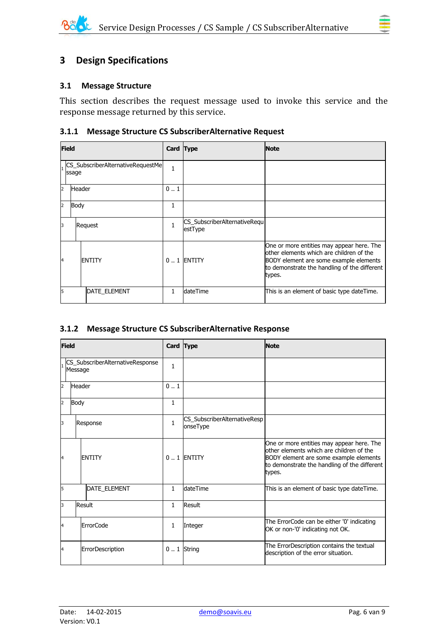#### <span id="page-5-1"></span><span id="page-5-0"></span>**3.1 Message Structure**

This section describes the request message used to invoke this service and the response message returned by this service.

#### <span id="page-5-2"></span>**3.1.1 Message Structure CS SubscriberAlternative Request**

| <b>Field</b> |               | Card Type                         |              | <b>Note</b>                             |                                                                                                                                                                                           |
|--------------|---------------|-----------------------------------|--------------|-----------------------------------------|-------------------------------------------------------------------------------------------------------------------------------------------------------------------------------------------|
|              | ssage         | CS_SubscriberAlternativeRequestMe | 1            |                                         |                                                                                                                                                                                           |
| 2            | <b>Header</b> |                                   | 0.1          |                                         |                                                                                                                                                                                           |
| 2            | Body          |                                   | 1            |                                         |                                                                                                                                                                                           |
| 3            |               | Request                           | $\mathbf{1}$ | CS_SubscriberAlternativeRequ<br>estType |                                                                                                                                                                                           |
| 14           |               | <b>ENTITY</b>                     |              | 0  1 ENTITY                             | One or more entities may appear here. The<br>other elements which are children of the<br>BODY element are some example elements<br>to demonstrate the handling of the different<br>types. |
| 5            |               | <b>DATE ELEMENT</b>               | 1            | <b>dateTime</b>                         | This is an element of basic type dateTime.                                                                                                                                                |

#### <span id="page-5-3"></span>**3.1.2 Message Structure CS SubscriberAlternative Response**

| <b>Field</b>   |                                             | Card Type        |              | <b>Note</b>                              |                                                                                                                                                                                           |
|----------------|---------------------------------------------|------------------|--------------|------------------------------------------|-------------------------------------------------------------------------------------------------------------------------------------------------------------------------------------------|
|                | CS_SubscriberAlternativeResponse<br>Message |                  | $\mathbf{1}$ |                                          |                                                                                                                                                                                           |
| $\overline{2}$ | <b>Header</b>                               |                  | 01           |                                          |                                                                                                                                                                                           |
| $\overline{2}$ | Body                                        |                  | $\mathbf{1}$ |                                          |                                                                                                                                                                                           |
| 3              | Response                                    |                  | $\mathbf{1}$ | CS_SubscriberAlternativeResp<br>onseType |                                                                                                                                                                                           |
| 14             |                                             | <b>ENTITY</b>    |              | $0.1$ ENTITY                             | One or more entities may appear here. The<br>other elements which are children of the<br>BODY element are some example elements<br>to demonstrate the handling of the different<br>types. |
| 5              |                                             | DATE_ELEMENT     | $\mathbf{1}$ | dateTime                                 | This is an element of basic type dateTime.                                                                                                                                                |
| 3              |                                             | Result           | $\mathbf{1}$ | Result                                   |                                                                                                                                                                                           |
| 4              |                                             | <b>ErrorCode</b> | 1            | Integer                                  | The ErrorCode can be either '0' indicating<br>OK or non-'0' indicating not OK.                                                                                                            |
| 4              |                                             | ErrorDescription |              | $0.1$ String                             | The ErrorDescription contains the textual<br>description of the error situation.                                                                                                          |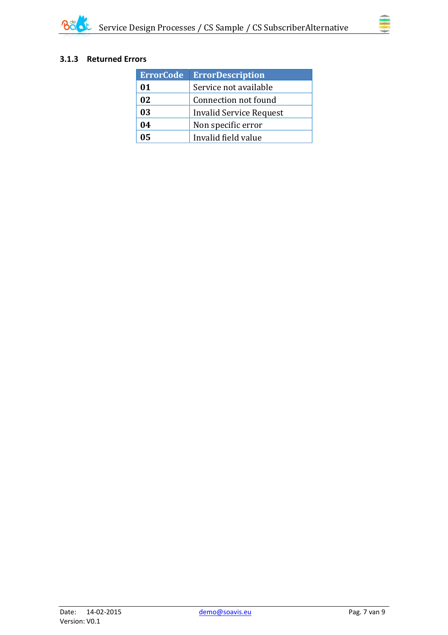

#### <span id="page-6-0"></span>**3.1.3 Returned Errors**

| <b>ErrorCode</b> | <b>ErrorDescription</b> |  |
|------------------|-------------------------|--|
| 01               | Service not available   |  |
| 02               | Connection not found    |  |
| 03               | Invalid Service Request |  |
| 04               | Non specific error      |  |
| 05               | Invalid field value     |  |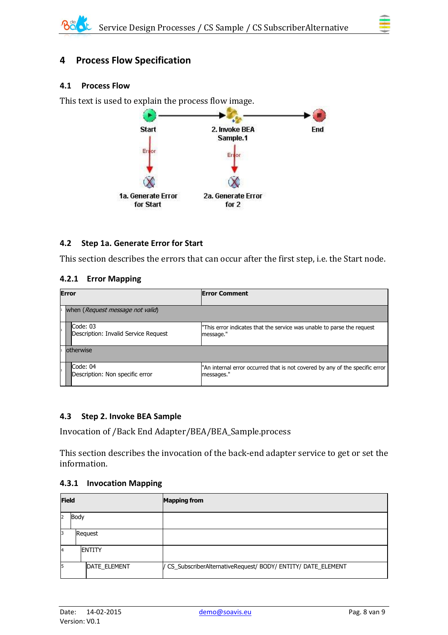# <span id="page-7-0"></span>**4 Process Flow Specification**

#### <span id="page-7-1"></span>**4.1 Process Flow**

This text is used to explain the process flow image.



### <span id="page-7-2"></span>**4.2 Step 1a. Generate Error for Start**

This section describes the errors that can occur after the first step, i.e. the Start node.

#### <span id="page-7-3"></span>**4.2.1 Error Mapping**

| <b>Error</b> |                                                  | <b>Error Comment</b>                                                                       |  |  |
|--------------|--------------------------------------------------|--------------------------------------------------------------------------------------------|--|--|
|              | when (Request message not valid)                 |                                                                                            |  |  |
|              | Code: 03<br>Description: Invalid Service Request | "This error indicates that the service was unable to parse the request<br>message."        |  |  |
|              | lotherwise                                       |                                                                                            |  |  |
|              | Code: 04<br>Description: Non specific error      | "An internal error occurred that is not covered by any of the specific error<br>messages." |  |  |

#### <span id="page-7-4"></span>**4.3 Step 2. Invoke BEA Sample**

Invocation of /Back End Adapter/BEA/BEA\_Sample.process

This section describes the invocation of the back-end adapter service to get or set the information.

#### <span id="page-7-5"></span>**4.3.1 Invocation Mapping**

| <b>Field</b>   |         |                | <b>Mapping from</b>                                           |
|----------------|---------|----------------|---------------------------------------------------------------|
| $\overline{2}$ | Body    |                |                                                               |
| 13             | Request |                |                                                               |
| $\overline{A}$ |         | <b>IENTITY</b> |                                                               |
| 5              |         | DATE_ELEMENT   | / CS_SubscriberAlternativeRequest/ BODY/ ENTITY/ DATE_ELEMENT |